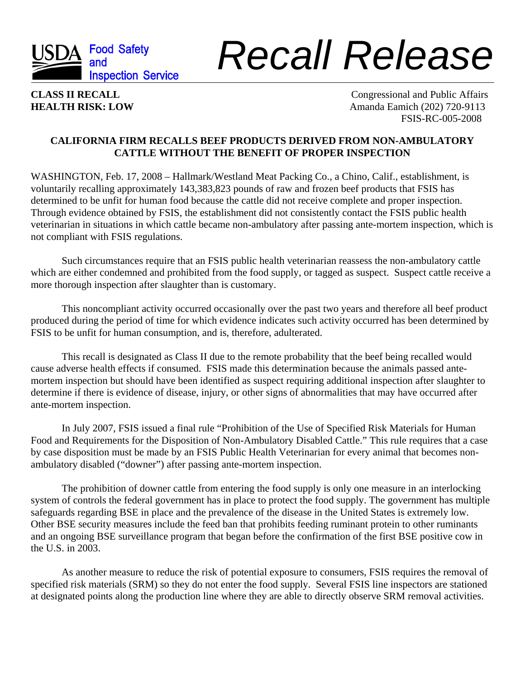

## *Recall Release*

**CLASS II RECALL** Congressional and Public Affairs **HEALTH RISK: LOW** Amanda Eamich (202) 720-9113 FSIS-RC-005-2008

## **CALIFORNIA FIRM RECALLS BEEF PRODUCTS DERIVED FROM NON-AMBULATORY CATTLE WITHOUT THE BENEFIT OF PROPER INSPECTION**

WASHINGTON, Feb. 17, 2008 – Hallmark/Westland Meat Packing Co., a Chino, Calif., establishment, is voluntarily recalling approximately 143,383,823 pounds of raw and frozen beef products that FSIS has determined to be unfit for human food because the cattle did not receive complete and proper inspection. Through evidence obtained by FSIS, the establishment did not consistently contact the FSIS public health veterinarian in situations in which cattle became non-ambulatory after passing ante-mortem inspection, which is not compliant with FSIS regulations.

Such circumstances require that an FSIS public health veterinarian reassess the non-ambulatory cattle which are either condemned and prohibited from the food supply, or tagged as suspect. Suspect cattle receive a more thorough inspection after slaughter than is customary.

This noncompliant activity occurred occasionally over the past two years and therefore all beef product produced during the period of time for which evidence indicates such activity occurred has been determined by FSIS to be unfit for human consumption, and is, therefore, adulterated.

This recall is designated as Class II due to the remote probability that the beef being recalled would cause adverse health effects if consumed. FSIS made this determination because the animals passed antemortem inspection but should have been identified as suspect requiring additional inspection after slaughter to determine if there is evidence of disease, injury, or other signs of abnormalities that may have occurred after ante-mortem inspection.

In July 2007, FSIS issued a final rule "Prohibition of the Use of Specified Risk Materials for Human Food and Requirements for the Disposition of Non-Ambulatory Disabled Cattle." This rule requires that a case by case disposition must be made by an FSIS Public Health Veterinarian for every animal that becomes nonambulatory disabled ("downer") after passing ante-mortem inspection.

The prohibition of downer cattle from entering the food supply is only one measure in an interlocking system of controls the federal government has in place to protect the food supply. The government has multiple safeguards regarding BSE in place and the prevalence of the disease in the United States is extremely low. Other BSE security measures include the feed ban that prohibits feeding ruminant protein to other ruminants and an ongoing BSE surveillance program that began before the confirmation of the first BSE positive cow in the U.S. in 2003.

As another measure to reduce the risk of potential exposure to consumers, FSIS requires the removal of specified risk materials (SRM) so they do not enter the food supply. Several FSIS line inspectors are stationed at designated points along the production line where they are able to directly observe SRM removal activities.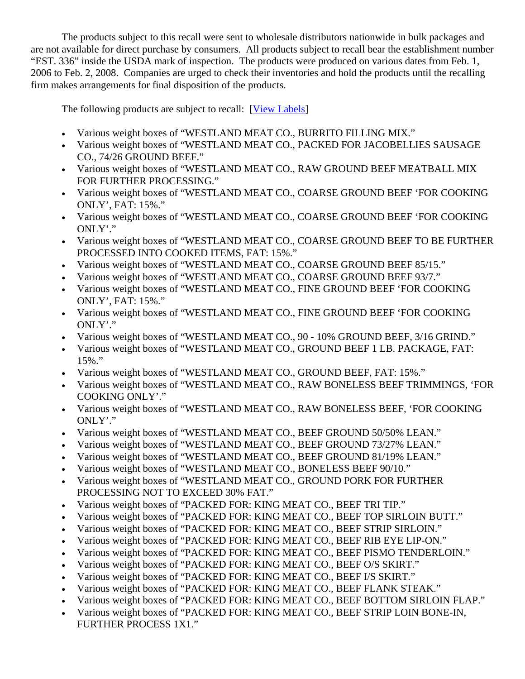The products subject to this recall were sent to wholesale distributors nationwide in bulk packages and are not available for direct purchase by consumers. All products subject to recall bear the establishment number "EST. 336" inside the USDA mark of inspection. The products were produced on various dates from Feb. 1, 2006 to Feb. 2, 2008. Companies are urged to check their inventories and hold the products until the recalling firm makes arrangements for final disposition of the products.

The following products are subject to recall: [[View Labels\]](http://www.fsis.usda.gov/images_recalls/005-2008_Labels.pdf)

- Various weight boxes of "WESTLAND MEAT CO., BURRITO FILLING MIX."
- Various weight boxes of "WESTLAND MEAT CO., PACKED FOR JACOBELLIES SAUSAGE CO., 74/26 GROUND BEEF."
- Various weight boxes of "WESTLAND MEAT CO., RAW GROUND BEEF MEATBALL MIX FOR FURTHER PROCESSING."
- Various weight boxes of "WESTLAND MEAT CO., COARSE GROUND BEEF 'FOR COOKING ONLY', FAT: 15%."
- Various weight boxes of "WESTLAND MEAT CO., COARSE GROUND BEEF 'FOR COOKING ONLY'."
- Various weight boxes of "WESTLAND MEAT CO., COARSE GROUND BEEF TO BE FURTHER PROCESSED INTO COOKED ITEMS, FAT: 15%."
- Various weight boxes of "WESTLAND MEAT CO., COARSE GROUND BEEF 85/15."
- Various weight boxes of "WESTLAND MEAT CO., COARSE GROUND BEEF 93/7."
- Various weight boxes of "WESTLAND MEAT CO., FINE GROUND BEEF 'FOR COOKING ONLY', FAT: 15%."
- Various weight boxes of "WESTLAND MEAT CO., FINE GROUND BEEF 'FOR COOKING ONLY'."
- Various weight boxes of "WESTLAND MEAT CO., 90 10% GROUND BEEF, 3/16 GRIND."
- Various weight boxes of "WESTLAND MEAT CO., GROUND BEEF 1 LB. PACKAGE, FAT:  $15\%$ ."
- Various weight boxes of "WESTLAND MEAT CO., GROUND BEEF, FAT: 15%."
- Various weight boxes of "WESTLAND MEAT CO., RAW BONELESS BEEF TRIMMINGS, 'FOR COOKING ONLY'."
- Various weight boxes of "WESTLAND MEAT CO., RAW BONELESS BEEF, 'FOR COOKING ONLY'."
- Various weight boxes of "WESTLAND MEAT CO., BEEF GROUND 50/50% LEAN."
- Various weight boxes of "WESTLAND MEAT CO., BEEF GROUND 73/27% LEAN."
- Various weight boxes of "WESTLAND MEAT CO., BEEF GROUND 81/19% LEAN."
- Various weight boxes of "WESTLAND MEAT CO., BONELESS BEEF 90/10."
- Various weight boxes of "WESTLAND MEAT CO., GROUND PORK FOR FURTHER PROCESSING NOT TO EXCEED 30% FAT."
- Various weight boxes of "PACKED FOR: KING MEAT CO., BEEF TRI TIP."
- Various weight boxes of "PACKED FOR: KING MEAT CO., BEEF TOP SIRLOIN BUTT."
- Various weight boxes of "PACKED FOR: KING MEAT CO., BEEF STRIP SIRLOIN."
- Various weight boxes of "PACKED FOR: KING MEAT CO., BEEF RIB EYE LIP-ON."
- Various weight boxes of "PACKED FOR: KING MEAT CO., BEEF PISMO TENDERLOIN."
- Various weight boxes of "PACKED FOR: KING MEAT CO., BEEF O/S SKIRT."
- Various weight boxes of "PACKED FOR: KING MEAT CO., BEEF I/S SKIRT."
- Various weight boxes of "PACKED FOR: KING MEAT CO., BEEF FLANK STEAK."
- Various weight boxes of "PACKED FOR: KING MEAT CO., BEEF BOTTOM SIRLOIN FLAP."
- Various weight boxes of "PACKED FOR: KING MEAT CO., BEEF STRIP LOIN BONE-IN, FURTHER PROCESS 1X1."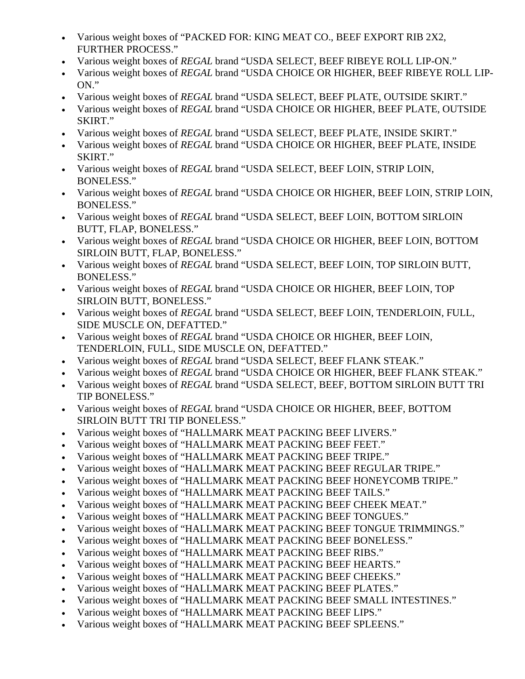- Various weight boxes of "PACKED FOR: KING MEAT CO., BEEF EXPORT RIB 2X2, FURTHER PROCESS."
- Various weight boxes of *REGAL* brand "USDA SELECT, BEEF RIBEYE ROLL LIP-ON."
- Various weight boxes of *REGAL* brand "USDA CHOICE OR HIGHER, BEEF RIBEYE ROLL LIP-ON."
- Various weight boxes of *REGAL* brand "USDA SELECT, BEEF PLATE, OUTSIDE SKIRT."
- Various weight boxes of *REGAL* brand "USDA CHOICE OR HIGHER, BEEF PLATE, OUTSIDE SKIRT."
- Various weight boxes of *REGAL* brand "USDA SELECT, BEEF PLATE, INSIDE SKIRT."
- Various weight boxes of *REGAL* brand "USDA CHOICE OR HIGHER, BEEF PLATE, INSIDE SKIRT."
- Various weight boxes of *REGAL* brand "USDA SELECT, BEEF LOIN, STRIP LOIN, BONELESS."
- Various weight boxes of *REGAL* brand "USDA CHOICE OR HIGHER, BEEF LOIN, STRIP LOIN, BONELESS."
- Various weight boxes of *REGAL* brand "USDA SELECT, BEEF LOIN, BOTTOM SIRLOIN BUTT, FLAP, BONELESS."
- Various weight boxes of *REGAL* brand "USDA CHOICE OR HIGHER, BEEF LOIN, BOTTOM SIRLOIN BUTT, FLAP, BONELESS."
- Various weight boxes of *REGAL* brand "USDA SELECT, BEEF LOIN, TOP SIRLOIN BUTT, BONELESS."
- Various weight boxes of *REGAL* brand "USDA CHOICE OR HIGHER, BEEF LOIN, TOP SIRLOIN BUTT, BONELESS."
- Various weight boxes of *REGAL* brand "USDA SELECT, BEEF LOIN, TENDERLOIN, FULL, SIDE MUSCLE ON, DEFATTED."
- Various weight boxes of *REGAL* brand "USDA CHOICE OR HIGHER, BEEF LOIN, TENDERLOIN, FULL, SIDE MUSCLE ON, DEFATTED."
- Various weight boxes of *REGAL* brand "USDA SELECT, BEEF FLANK STEAK."
- Various weight boxes of *REGAL* brand "USDA CHOICE OR HIGHER, BEEF FLANK STEAK."
- Various weight boxes of *REGAL* brand "USDA SELECT, BEEF, BOTTOM SIRLOIN BUTT TRI TIP BONELESS."
- Various weight boxes of *REGAL* brand "USDA CHOICE OR HIGHER, BEEF, BOTTOM SIRLOIN BUTT TRI TIP BONELESS."
- Various weight boxes of "HALLMARK MEAT PACKING BEEF LIVERS."
- Various weight boxes of "HALLMARK MEAT PACKING BEEF FEET."
- Various weight boxes of "HALLMARK MEAT PACKING BEEF TRIPE."
- Various weight boxes of "HALLMARK MEAT PACKING BEEF REGULAR TRIPE."
- Various weight boxes of "HALLMARK MEAT PACKING BEEF HONEYCOMB TRIPE."
- Various weight boxes of "HALLMARK MEAT PACKING BEEF TAILS."
- Various weight boxes of "HALLMARK MEAT PACKING BEEF CHEEK MEAT."
- Various weight boxes of "HALLMARK MEAT PACKING BEEF TONGUES."
- Various weight boxes of "HALLMARK MEAT PACKING BEEF TONGUE TRIMMINGS."
- Various weight boxes of "HALLMARK MEAT PACKING BEEF BONELESS."
- Various weight boxes of "HALLMARK MEAT PACKING BEEF RIBS."
- Various weight boxes of "HALLMARK MEAT PACKING BEEF HEARTS."
- Various weight boxes of "HALLMARK MEAT PACKING BEEF CHEEKS."
- Various weight boxes of "HALLMARK MEAT PACKING BEEF PLATES."
- Various weight boxes of "HALLMARK MEAT PACKING BEEF SMALL INTESTINES."
- Various weight boxes of "HALLMARK MEAT PACKING BEEF LIPS."
- Various weight boxes of "HALLMARK MEAT PACKING BEEF SPLEENS."